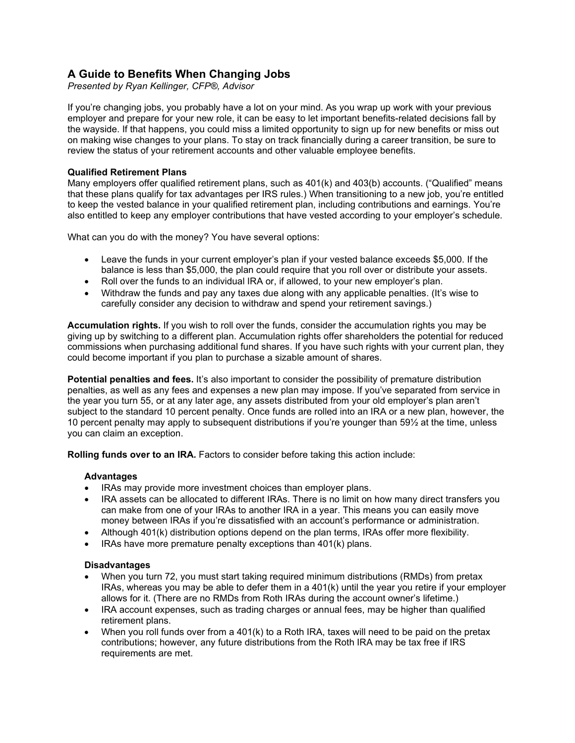# **A Guide to Benefits When Changing Jobs**

*Presented by Ryan Kellinger, CFP®, Advisor*

If you're changing jobs, you probably have a lot on your mind. As you wrap up work with your previous employer and prepare for your new role, it can be easy to let important benefits-related decisions fall by the wayside. If that happens, you could miss a limited opportunity to sign up for new benefits or miss out on making wise changes to your plans. To stay on track financially during a career transition, be sure to review the status of your retirement accounts and other valuable employee benefits.

## **Qualified Retirement Plans**

Many employers offer qualified retirement plans, such as 401(k) and 403(b) accounts. ("Qualified" means that these plans qualify for tax advantages per IRS rules.) When transitioning to a new job, you're entitled to keep the vested balance in your qualified retirement plan, including contributions and earnings. You're also entitled to keep any employer contributions that have vested according to your employer's schedule.

What can you do with the money? You have several options:

- Leave the funds in your current employer's plan if your vested balance exceeds \$5,000. If the balance is less than \$5,000, the plan could require that you roll over or distribute your assets.
- Roll over the funds to an individual IRA or, if allowed, to your new employer's plan.
- Withdraw the funds and pay any taxes due along with any applicable penalties. (It's wise to carefully consider any decision to withdraw and spend your retirement savings.)

**Accumulation rights.** If you wish to roll over the funds, consider the accumulation rights you may be giving up by switching to a different plan. Accumulation rights offer shareholders the potential for reduced commissions when purchasing additional fund shares. If you have such rights with your current plan, they could become important if you plan to purchase a sizable amount of shares.

**Potential penalties and fees.** It's also important to consider the possibility of premature distribution penalties, as well as any fees and expenses a new plan may impose. If you've separated from service in the year you turn 55, or at any later age, any assets distributed from your old employer's plan aren't subject to the standard 10 percent penalty. Once funds are rolled into an IRA or a new plan, however, the 10 percent penalty may apply to subsequent distributions if you're younger than 59½ at the time, unless you can claim an exception.

**Rolling funds over to an IRA.** Factors to consider before taking this action include:

## **Advantages**

- IRAs may provide more investment choices than employer plans.
- IRA assets can be allocated to different IRAs. There is no limit on how many direct transfers you can make from one of your IRAs to another IRA in a year. This means you can easily move money between IRAs if you're dissatisfied with an account's performance or administration.
- Although 401(k) distribution options depend on the plan terms, IRAs offer more flexibility.
- IRAs have more premature penalty exceptions than 401(k) plans.

## **Disadvantages**

- When you turn 72, you must start taking required minimum distributions (RMDs) from pretax IRAs, whereas you may be able to defer them in a 401(k) until the year you retire if your employer allows for it. (There are no RMDs from Roth IRAs during the account owner's lifetime.)
- IRA account expenses, such as trading charges or annual fees, may be higher than qualified retirement plans.
- When you roll funds over from a 401(k) to a Roth IRA, taxes will need to be paid on the pretax contributions; however, any future distributions from the Roth IRA may be tax free if IRS requirements are met.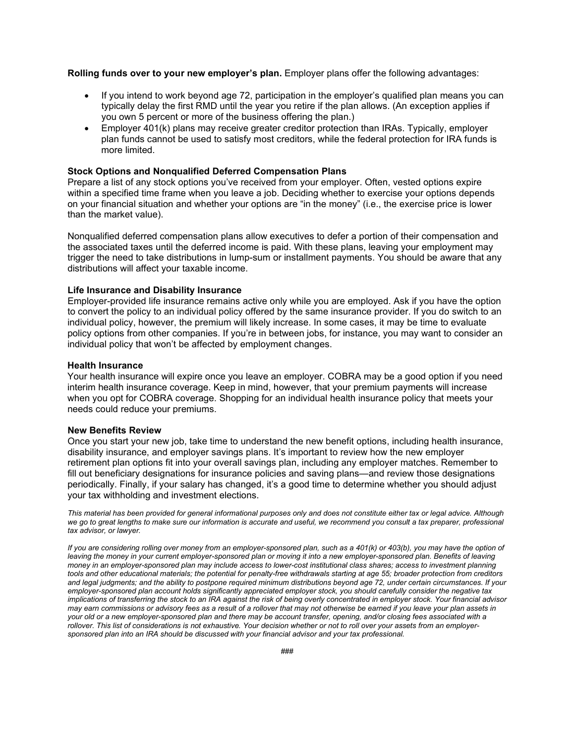**Rolling funds over to your new employer's plan.** Employer plans offer the following advantages:

- If you intend to work beyond age 72, participation in the employer's qualified plan means you can typically delay the first RMD until the year you retire if the plan allows. (An exception applies if you own 5 percent or more of the business offering the plan.)
- Employer 401(k) plans may receive greater creditor protection than IRAs. Typically, employer plan funds cannot be used to satisfy most creditors, while the federal protection for IRA funds is more limited.

#### **Stock Options and Nonqualified Deferred Compensation Plans**

Prepare a list of any stock options you've received from your employer. Often, vested options expire within a specified time frame when you leave a job. Deciding whether to exercise your options depends on your financial situation and whether your options are "in the money" (i.e., the exercise price is lower than the market value).

Nonqualified deferred compensation plans allow executives to defer a portion of their compensation and the associated taxes until the deferred income is paid. With these plans, leaving your employment may trigger the need to take distributions in lump-sum or installment payments. You should be aware that any distributions will affect your taxable income.

### **Life Insurance and Disability Insurance**

Employer-provided life insurance remains active only while you are employed. Ask if you have the option to convert the policy to an individual policy offered by the same insurance provider. If you do switch to an individual policy, however, the premium will likely increase. In some cases, it may be time to evaluate policy options from other companies. If you're in between jobs, for instance, you may want to consider an individual policy that won't be affected by employment changes.

#### **Health Insurance**

Your health insurance will expire once you leave an employer. COBRA may be a good option if you need interim health insurance coverage. Keep in mind, however, that your premium payments will increase when you opt for COBRA coverage. Shopping for an individual health insurance policy that meets your needs could reduce your premiums.

#### **New Benefits Review**

Once you start your new job, take time to understand the new benefit options, including health insurance, disability insurance, and employer savings plans. It's important to review how the new employer retirement plan options fit into your overall savings plan, including any employer matches. Remember to fill out beneficiary designations for insurance policies and saving plans—and review those designations periodically. Finally, if your salary has changed, it's a good time to determine whether you should adjust your tax withholding and investment elections.

*This material has been provided for general informational purposes only and does not constitute either tax or legal advice. Although we go to great lengths to make sure our information is accurate and useful, we recommend you consult a tax preparer, professional tax advisor, or lawyer.*

*If you are considering rolling over money from an employer-sponsored plan, such as a 401(k) or 403(b), you may have the option of* leaving the money in your current employer-sponsored plan or moving it into a new employer-sponsored plan. Benefits of leaving *money in an employer-sponsored plan may include access to lower-cost institutional class shares; access to investment planning tools and other educational materials; the potential for penalty-free withdrawals starting at age 55; broader protection from creditors and legal judgments; and the ability to postpone required minimum distributions beyond age 72, under certain circumstances. If your employer-sponsored plan account holds significantly appreciated employer stock, you should carefully consider the negative tax implications of transferring the stock to an IRA against the risk of being overly concentrated in employer stock. Your financial advisor may earn commissions or advisory fees as a result of a rollover that may not otherwise be earned if you leave your plan assets in your old or a new employer-sponsored plan and there may be account transfer, opening, and/or closing fees associated with a rollover. This list of considerations is not exhaustive. Your decision whether or not to roll over your assets from an employersponsored plan into an IRA should be discussed with your financial advisor and your tax professional.*